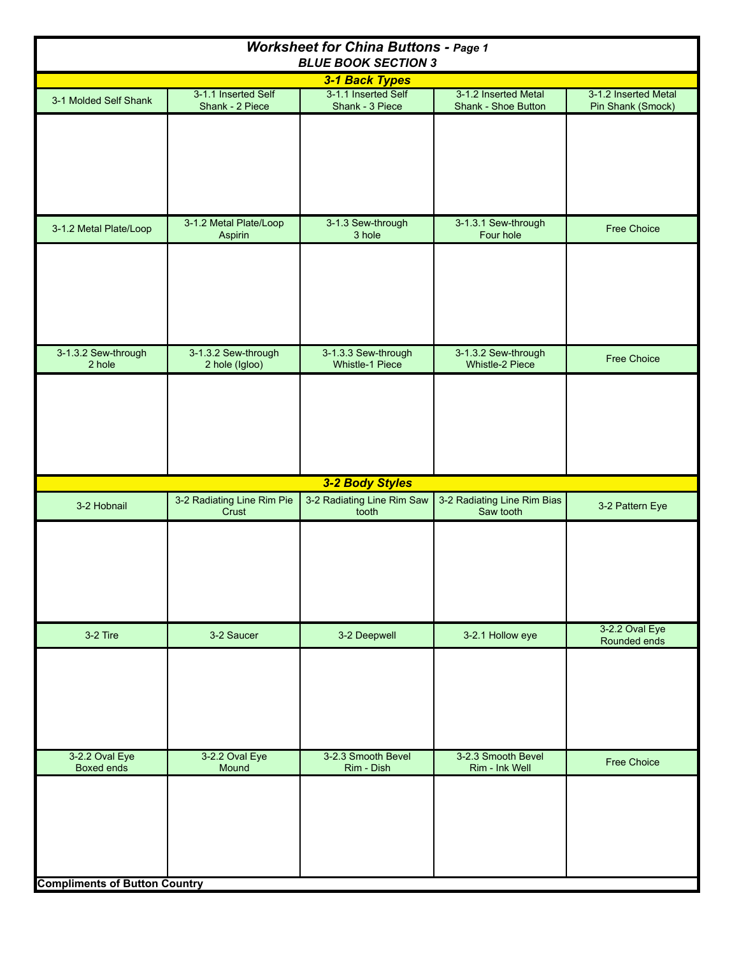| <b>Worksheet for China Buttons - Page 1</b><br><b>BLUE BOOK SECTION 3</b> |                                        |                                        |                                             |                                           |  |  |  |
|---------------------------------------------------------------------------|----------------------------------------|----------------------------------------|---------------------------------------------|-------------------------------------------|--|--|--|
|                                                                           |                                        | 3-1 Back Types                         |                                             |                                           |  |  |  |
| 3-1 Molded Self Shank                                                     | 3-1.1 Inserted Self<br>Shank - 2 Piece | 3-1.1 Inserted Self<br>Shank - 3 Piece | 3-1.2 Inserted Metal<br>Shank - Shoe Button | 3-1.2 Inserted Metal<br>Pin Shank (Smock) |  |  |  |
|                                                                           |                                        |                                        |                                             |                                           |  |  |  |
| 3-1.2 Metal Plate/Loop                                                    | 3-1.2 Metal Plate/Loop<br>Aspirin      | 3-1.3 Sew-through<br>3 hole            | 3-1.3.1 Sew-through<br>Four hole            | <b>Free Choice</b>                        |  |  |  |
|                                                                           |                                        |                                        |                                             |                                           |  |  |  |
| 3-1.3.2 Sew-through<br>2 hole                                             | 3-1.3.2 Sew-through<br>2 hole (Igloo)  | 3-1.3.3 Sew-through<br>Whistle-1 Piece | 3-1.3.2 Sew-through<br>Whistle-2 Piece      | <b>Free Choice</b>                        |  |  |  |
|                                                                           |                                        |                                        |                                             |                                           |  |  |  |
|                                                                           |                                        | 3-2 Body Styles                        |                                             |                                           |  |  |  |
| 3-2 Hobnail                                                               | 3-2 Radiating Line Rim Pie<br>Crust    | 3-2 Radiating Line Rim Saw<br>tooth    | 3-2 Radiating Line Rim Bias<br>Saw tooth    | 3-2 Pattern Eye                           |  |  |  |
|                                                                           |                                        |                                        |                                             |                                           |  |  |  |
| 3-2 Tire                                                                  | 3-2 Saucer                             | 3-2 Deepwell                           | 3-2.1 Hollow eye                            | 3-2.2 Oval Eye<br>Rounded ends            |  |  |  |
|                                                                           |                                        |                                        |                                             |                                           |  |  |  |
| 3-2.2 Oval Eye<br><b>Boxed ends</b>                                       | 3-2.2 Oval Eye<br>Mound                | 3-2.3 Smooth Bevel<br>Rim - Dish       | 3-2.3 Smooth Bevel<br>Rim - Ink Well        | <b>Free Choice</b>                        |  |  |  |
| <b>Compliments of Button Country</b>                                      |                                        |                                        |                                             |                                           |  |  |  |